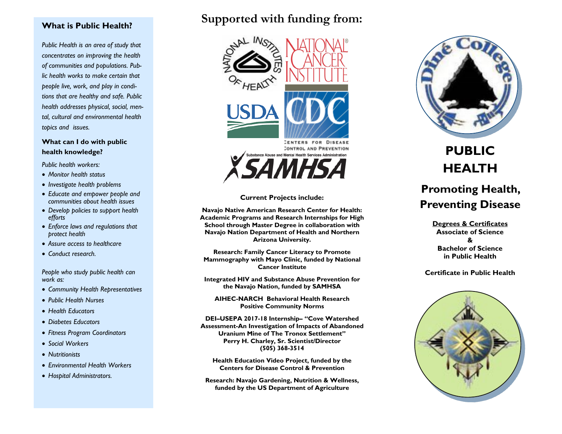## **What is Public Health?**

*Public Health is an area of study that concentrates on improving the health of communities and populations. Public health works to make certain that people live, work, and play in conditions that are healthy and safe. Public health addresses physical, social, mental, cultural and environmental health topics and issues.*

## **What can I do with public health knowledge?**

*Public health workers:*

- *Monitor health status*
- *Investigate health problems*
- *Educate and empower people and communities about health issues*
- *Develop policies to support health efforts*
- *Enforce laws and regulations that protect health*
- *Assure access to healthcare*
- *Conduct research.*

*People who study public health can work as:*

- *Community Health Representatives*
- *Public Health Nurses*
- *Health Educators*
- *Diabetes Educators*
- *Fitness Program Coordinators*
- *Social Workers*
- *Nutritionists*
- *Environmental Health Workers*
- *Hospital Administrators.*

## **Supported with funding from:**



**CENTERS FOR DISEASE** CONTROL AND PREVENTION nce Abuse and Mental Health Services Administration



**Navajo Native American Research Center for Health: Academic Programs and Research Internships for High School through Master Degree in collaboration with Navajo Nation Department of Health and Northern Arizona University.**

**Research: Family Cancer Literacy to Promote Mammography with Mayo Clinic, funded by National Cancer Institute**

**Integrated HIV and Substance Abuse Prevention for the Navajo Nation, funded by SAMHSA**

**AIHEC-NARCH Behavioral Health Research Positive Community Norms**

**DEI–USEPA 2017-18 Internship– "Cove Watershed Assessment-An Investigation of Impacts of Abandoned Uranium Mine of The Tronox Settlement" Perry H. Charley, Sr. Scientist/Director (505) 368-3514**

**Health Education Video Project, funded by the Centers for Disease Control & Prevention**

**Research: Navajo Gardening, Nutrition & Wellness, funded by the US Department of Agriculture**



# **PUBLIC HEALTH**

## **Promoting Health, Preventing Disease**

**Degrees & Certificates Associate of Science & Bachelor of Science in Public Health** 

#### **Certificate in Public Health**